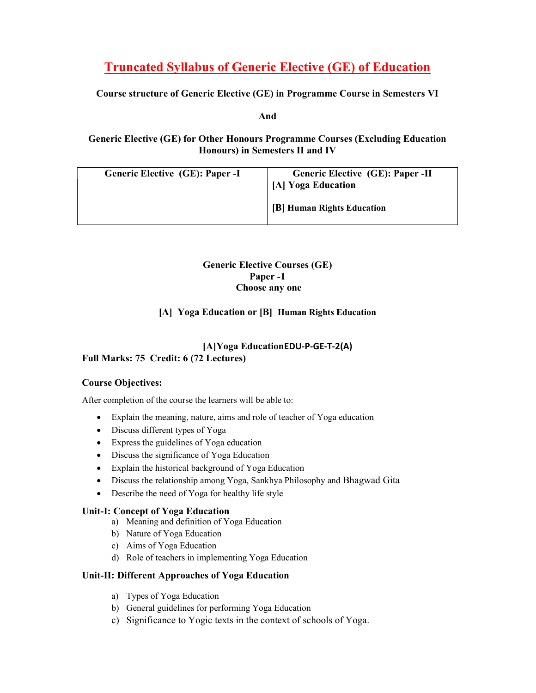# Truncated Syllabus of Generic Elective (GE) of Education

## Course structure of Generic Elective (GE) in Programme Course in Semesters VI

#### And

## Generic Elective (GE) for Other Honours Programme Courses (Excluding Education Honours) in Semesters II and IV

| Generic Elective (GE): Paper -I | <b>Generic Elective (GE): Paper -II</b> |
|---------------------------------|-----------------------------------------|
|                                 | [A] Yoga Education                      |
|                                 | [B] Human Rights Education              |

#### Generic Elective Courses (GE) Paper -1 Choose any one

## [A] Yoga Education or [B] Human Rights Education

## [A]Yoga EducationEDU-P-GE-T-2(A) Full Marks: 75 Credit: 6 (72 Lectures)

## Course Objectives:

After completion of the course the learners will be able to:

- Explain the meaning, nature, aims and role of teacher of Yoga education
- Discuss different types of Yoga
- Express the guidelines of Yoga education
- Discuss the significance of Yoga Education
- Explain the historical background of Yoga Education
- Discuss the relationship among Yoga, Sankhya Philosophy and Bhagwad Gita
- Describe the need of Yoga for healthy life style

## Unit-I: Concept of Yoga Education

- a) Meaning and definition of Yoga Education
- b) Nature of Yoga Education
- c) Aims of Yoga Education
- d) Role of teachers in implementing Yoga Education

## Unit-II: Different Approaches of Yoga Education

- a) Types of Yoga Education
- b) General guidelines for performing Yoga Education
- c) Significance to Yogic texts in the context of schools of Yoga.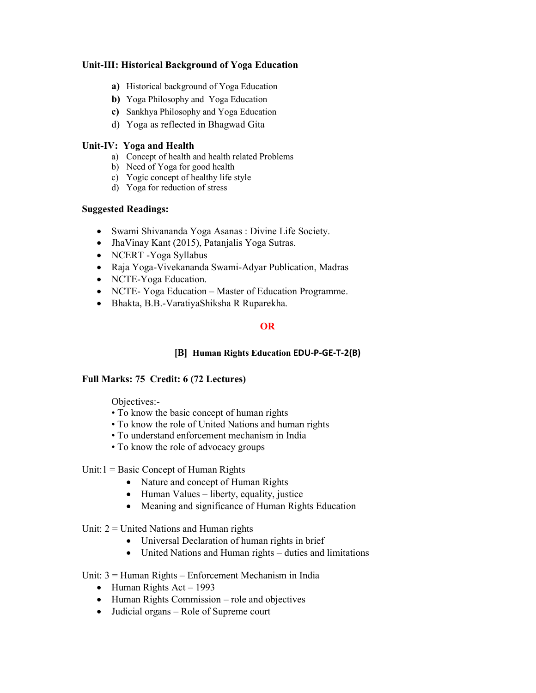#### Unit-III: Historical Background of Yoga Education

- a) Historical background of Yoga Education
- b) Yoga Philosophy and Yoga Education
- c) Sankhya Philosophy and Yoga Education
- d) Yoga as reflected in Bhagwad Gita

#### Unit-IV: Yoga and Health

- a) Concept of health and health related Problems
- b) Need of Yoga for good health
- c) Yogic concept of healthy life style
- d) Yoga for reduction of stress

#### Suggested Readings:

- Swami Shivananda Yoga Asanas : Divine Life Society.
- JhaVinay Kant (2015), Patanjalis Yoga Sutras.
- NCERT -Yoga Syllabus
- Raja Yoga-Vivekananda Swami-Adyar Publication, Madras
- NCTE-Yoga Education.
- NCTE- Yoga Education Master of Education Programme.
- Bhakta, B.B.-VaratiyaShiksha R Ruparekha.

#### OR

## [B] Human Rights Education EDU-P-GE-T-2(B)

## Full Marks: 75 Credit: 6 (72 Lectures)

Objectives:-

- To know the basic concept of human rights
- To know the role of United Nations and human rights
- To understand enforcement mechanism in India
- To know the role of advocacy groups

#### Unit: $1 = Basic Concept of Human Rights$

- Nature and concept of Human Rights
- Human Values liberty, equality, justice
- Meaning and significance of Human Rights Education

Unit:  $2 =$  United Nations and Human rights

- Universal Declaration of human rights in brief
- United Nations and Human rights duties and limitations

Unit: 3 = Human Rights – Enforcement Mechanism in India

- $\bullet$  Human Rights Act 1993
- Human Rights Commission role and objectives
- Judicial organs Role of Supreme court